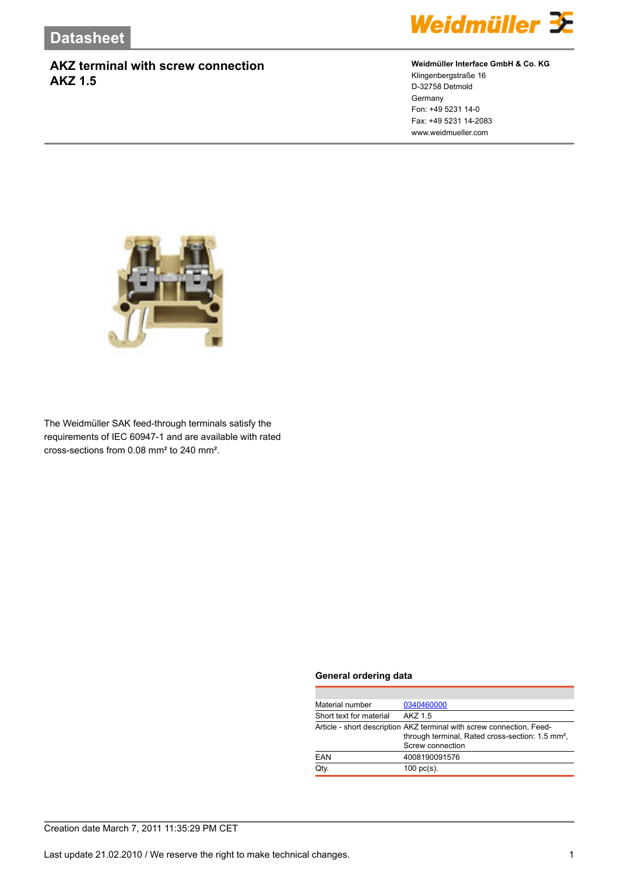

### **Weidmüller Interface GmbH & Co. KG**

Klingenbergstraße 16 D-32758 Detmold Germany Fon: +49 5231 14-0 Fax: +49 5231 14-2083 www.weidmueller.com



The Weidmüller SAK feed-through terminals satisfy the requirements of IEC 60947-1 and are available with rated cross-sections from 0.08 mm² to 240 mm².

#### **General ordering data**

| Material number                                                       | 0340460000                                                   |  |
|-----------------------------------------------------------------------|--------------------------------------------------------------|--|
| Short text for material                                               | AK7 1.5                                                      |  |
| Article - short description AKZ terminal with screw connection, Feed- |                                                              |  |
|                                                                       | through terminal, Rated cross-section: 1.5 mm <sup>2</sup> , |  |
|                                                                       | Screw connection                                             |  |
| EAN                                                                   | 4008190091576                                                |  |
| Qtv.                                                                  | $100$ pc(s).                                                 |  |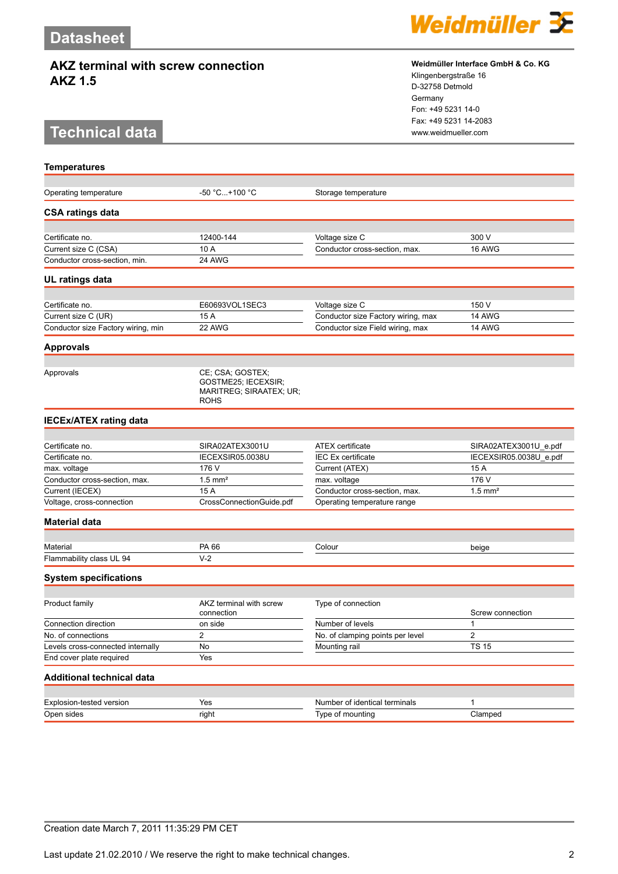# **Technical data www.weidmueller.com**

**Temperatures**



#### **Weidmüller Interface GmbH & Co. KG**

Klingenbergstraße 16 D-32758 Detmold Germany Fon: +49 5231 14-0 Fax: +49 5231 14-2083

| Operating temperature                        | -50 °C+100 °C                                                                     | Storage temperature                                          |                        |
|----------------------------------------------|-----------------------------------------------------------------------------------|--------------------------------------------------------------|------------------------|
| <b>CSA ratings data</b>                      |                                                                                   |                                                              |                        |
|                                              |                                                                                   |                                                              |                        |
| Certificate no.                              | 12400-144                                                                         | Voltage size C                                               | 300 V                  |
| Current size C (CSA)                         | 10 A                                                                              | Conductor cross-section, max.                                | 16 AWG                 |
| Conductor cross-section, min.                | 24 AWG                                                                            |                                                              |                        |
| UL ratings data                              |                                                                                   |                                                              |                        |
|                                              |                                                                                   |                                                              |                        |
| Certificate no.<br>Current size C (UR)       | E60693VOL1SEC3                                                                    | Voltage size C<br>Conductor size Factory wiring, max         | 150 V                  |
|                                              | 15 A<br>22 AWG                                                                    |                                                              | 14 AWG<br>14 AWG       |
| Conductor size Factory wiring, min           |                                                                                   | Conductor size Field wiring, max                             |                        |
| <b>Approvals</b>                             |                                                                                   |                                                              |                        |
| Approvals                                    | CE; CSA; GOSTEX;<br>GOSTME25; IECEXSIR;<br>MARITREG; SIRAATEX; UR;<br><b>ROHS</b> |                                                              |                        |
| <b>IECEx/ATEX rating data</b>                |                                                                                   |                                                              |                        |
|                                              |                                                                                   |                                                              |                        |
| Certificate no.                              | SIRA02ATEX3001U                                                                   | <b>ATEX</b> certificate                                      | SIRA02ATEX3001U_e.pdf  |
| Certificate no.                              | IECEXSIR05.0038U                                                                  | <b>IEC Ex certificate</b>                                    | IECEXSIR05.0038U_e.pdf |
| max. voltage                                 | 176 V                                                                             | Current (ATEX)                                               | 15 A                   |
| Conductor cross-section, max.                | $1.5$ mm <sup>2</sup>                                                             | max. voltage                                                 | 176 V                  |
| Current (IECEX)<br>Voltage, cross-connection | 15 A<br>CrossConnectionGuide.pdf                                                  | Conductor cross-section, max.<br>Operating temperature range | $1.5$ mm <sup>2</sup>  |
|                                              |                                                                                   |                                                              |                        |
| Material data                                |                                                                                   |                                                              |                        |
| Material                                     | PA 66                                                                             | Colour                                                       | beige                  |
| Flammability class UL 94                     | $V-2$                                                                             |                                                              |                        |
| <b>System specifications</b>                 |                                                                                   |                                                              |                        |
|                                              |                                                                                   |                                                              |                        |
| Product family                               | AKZ terminal with screw<br>connection                                             | Type of connection                                           | Screw connection       |
| Connection direction                         | on side                                                                           | Number of levels                                             | 1                      |
| No. of connections                           | 2                                                                                 | No. of clamping points per level                             | $\overline{c}$         |
| Levels cross-connected internally            | No                                                                                | Mounting rail                                                | <b>TS 15</b>           |
| End cover plate required                     | Yes                                                                               |                                                              |                        |
| <b>Additional technical data</b>             |                                                                                   |                                                              |                        |
|                                              |                                                                                   |                                                              |                        |
| Explosion-tested version                     | Yes                                                                               | Number of identical terminals                                | 1                      |
| Open sides                                   | right                                                                             | Type of mounting                                             | Clamped                |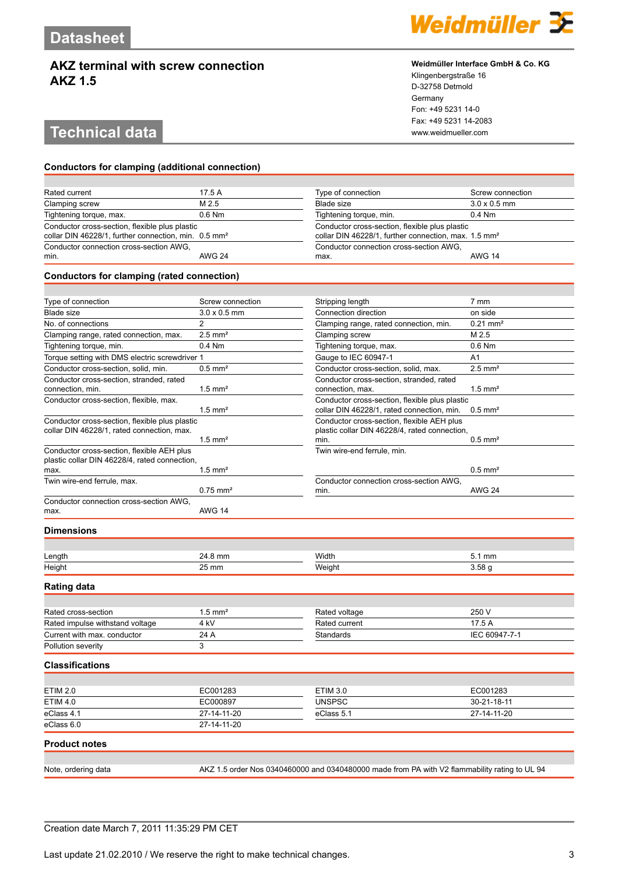# **Technical data www.weidmueller.com**

#### **Conductors for clamping (additional connection)**

| Rated current                                                                                                      | 17.5 A        | Type of connection                                                                                                 | Screw connection    |
|--------------------------------------------------------------------------------------------------------------------|---------------|--------------------------------------------------------------------------------------------------------------------|---------------------|
| Clamping screw                                                                                                     | M 2.5         | Blade size                                                                                                         | $3.0 \times 0.5$ mm |
| Tightening torque, max.                                                                                            | $0.6$ Nm      | Tightening torque, min.                                                                                            | $0.4$ Nm            |
| Conductor cross-section, flexible plus plastic<br>collar DIN 46228/1, further connection, min. 0.5 mm <sup>2</sup> |               | Conductor cross-section, flexible plus plastic<br>collar DIN 46228/1, further connection, max. 1.5 mm <sup>2</sup> |                     |
| Conductor connection cross-section AWG,<br>min.                                                                    | <b>AWG 24</b> | Conductor connection cross-section AWG,<br>max.                                                                    | <b>AWG 14</b>       |

#### **Conductors for clamping (rated connection)**

| Type of connection                                                                           | Screw connection       | Stripping length                                                                                    | $7 \text{ mm}$         |
|----------------------------------------------------------------------------------------------|------------------------|-----------------------------------------------------------------------------------------------------|------------------------|
| <b>Blade size</b>                                                                            | $3.0 \times 0.5$ mm    | Connection direction                                                                                | on side                |
| No. of connections                                                                           | $\overline{2}$         | Clamping range, rated connection, min.                                                              | $0.21$ mm <sup>2</sup> |
| Clamping range, rated connection, max.                                                       | $2.5$ mm <sup>2</sup>  | Clamping screw                                                                                      | M 2.5                  |
| Tightening torque, min.                                                                      | $0.4$ Nm               | Tightening torque, max.                                                                             | $0.6$ Nm               |
| Torque setting with DMS electric screwdriver 1                                               |                        | Gauge to IEC 60947-1                                                                                | A <sub>1</sub>         |
| Conductor cross-section, solid, min.                                                         | $0.5$ mm <sup>2</sup>  | Conductor cross-section, solid, max.                                                                | $2.5$ mm <sup>2</sup>  |
| Conductor cross-section, stranded, rated<br>connection, min.                                 | $1.5$ mm <sup>2</sup>  | Conductor cross-section, stranded, rated<br>connection, max.                                        | $1.5$ mm <sup>2</sup>  |
| Conductor cross-section, flexible, max.                                                      | $1.5$ mm <sup>2</sup>  | Conductor cross-section, flexible plus plastic<br>collar DIN 46228/1, rated connection, min.        | $0.5 \text{ mm}^2$     |
| Conductor cross-section, flexible plus plastic<br>collar DIN 46228/1, rated connection, max. | $1.5$ mm <sup>2</sup>  | Conductor cross-section, flexible AEH plus<br>plastic collar DIN 46228/4, rated connection,<br>min. | $0.5 \text{ mm}^2$     |
| Conductor cross-section, flexible AEH plus<br>plastic collar DIN 46228/4, rated connection,  |                        | Twin wire-end ferrule, min.                                                                         |                        |
| max.                                                                                         | $1.5$ mm <sup>2</sup>  |                                                                                                     | $0.5$ mm <sup>2</sup>  |
| Twin wire-end ferrule, max.                                                                  | $0.75$ mm <sup>2</sup> | Conductor connection cross-section AWG.<br>min.                                                     | <b>AWG 24</b>          |
| Conductor connection cross-section AWG,<br>max.                                              | <b>AWG 14</b>          |                                                                                                     |                        |
| <b>Dimensions</b>                                                                            |                        |                                                                                                     |                        |
| Length                                                                                       | 24.8 mm                | Width                                                                                               | 5.1 mm                 |

# **Rating data**

| Rated cross-section             | 1.5 mm <sup>2</sup> | Rated voltage | 250 V         |
|---------------------------------|---------------------|---------------|---------------|
| Rated impulse withstand voltage | 4 kV                | Rated current | 17.5 A        |
| Current with max, conductor     | 24 A                | Standards     | IEC 60947-7-1 |
| Pollution severity              |                     |               |               |

Height 25 mm Weight 3.58 g

#### **Classifications**

| <b>ETIM 2.0</b>      | EC001283    | ETIM 3.0      | EC001283    |
|----------------------|-------------|---------------|-------------|
| <b>ETIM 4.0</b>      | EC000897    | <b>UNSPSC</b> | 30-21-18-11 |
| eClass 4.1           | 27-14-11-20 | eClass 5.1    | 27-14-11-20 |
| eClass 6.0           | 27-14-11-20 |               |             |
| <b>Product notes</b> |             |               |             |

Note, ordering data AKZ 1.5 order Nos 0340460000 and 0340480000 made from PA with V2 flammability rating to UL 94

|  | . | - - |
|--|---|-----|

#### **Weidmüller Interface GmbH & Co. KG**

Klingenbergstraße 16 D-32758 Detmold Germany Fon: +49 5231 14-0 Fax: +49 5231 14-2083